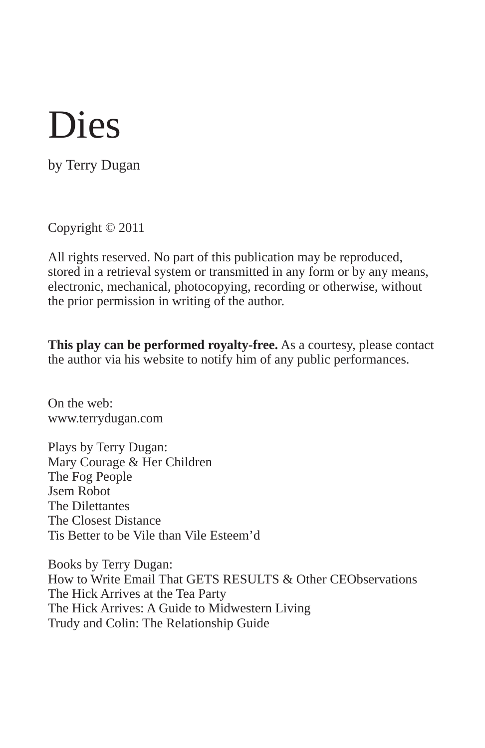by Terry Dugan

Copyright © 2011

All rights reserved. No part of this publication may be reproduced, stored in a retrieval system or transmitted in any form or by any means, electronic, mechanical, photocopying, recording or otherwise, without the prior permission in writing of the author.

**This play can be performed royalty-free.** As a courtesy, please contact the author via his website to notify him of any public performances.

On the web: www.terrydugan.com

Plays by Terry Dugan: Mary Courage & Her Children The Fog People Jsem Robot The Dilettantes The Closest Distance Tis Better to be Vile than Vile Esteem'd

Books by Terry Dugan: How to Write Email That GETS RESULTS & Other CEObservations The Hick Arrives at the Tea Party The Hick Arrives: A Guide to Midwestern Living Trudy and Colin: The Relationship Guide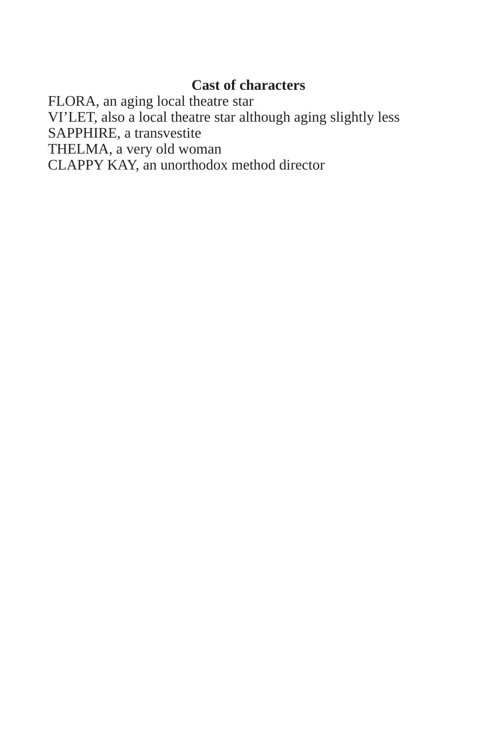# **Cast of characters**

FLORA, an aging local theatre star VI'LET, also a local theatre star although aging slightly less SAPPHIRE, a transvestite THELMA, a very old woman CLAPPY KAY, an unorthodox method director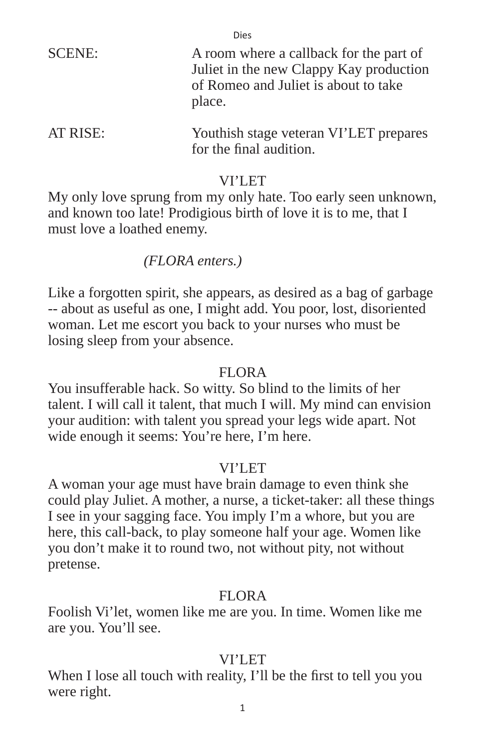| <b>SCENE:</b> | A room where a callback for the part of<br>Juliet in the new Clappy Kay production<br>of Romeo and Juliet is about to take<br>place. |
|---------------|--------------------------------------------------------------------------------------------------------------------------------------|
| AT RISE:      | Youthish stage veteran VI'LET prepares<br>for the final audition.                                                                    |

#### VI'LET

My only love sprung from my only hate. Too early seen unknown, and known too late! Prodigious birth of love it is to me, that I must love a loathed enemy.

## *(FLORA enters.)*

Like a forgotten spirit, she appears, as desired as a bag of garbage -- about as useful as one, I might add. You poor, lost, disoriented woman. Let me escort you back to your nurses who must be losing sleep from your absence.

#### FLORA

You insufferable hack. So witty. So blind to the limits of her talent. I will call it talent, that much I will. My mind can envision your audition: with talent you spread your legs wide apart. Not wide enough it seems: You're here, I'm here.

## VI'LET

A woman your age must have brain damage to even think she could play Juliet. A mother, a nurse, a ticket-taker: all these things I see in your sagging face. You imply I'm a whore, but you are here, this call-back, to play someone half your age. Women like you don't make it to round two, not without pity, not without pretense.

## FLOR A

Foolish Vi'let, women like me are you. In time. Women like me are you. You'll see.

## VI'LET

When I lose all touch with reality, I'll be the first to tell you you were right.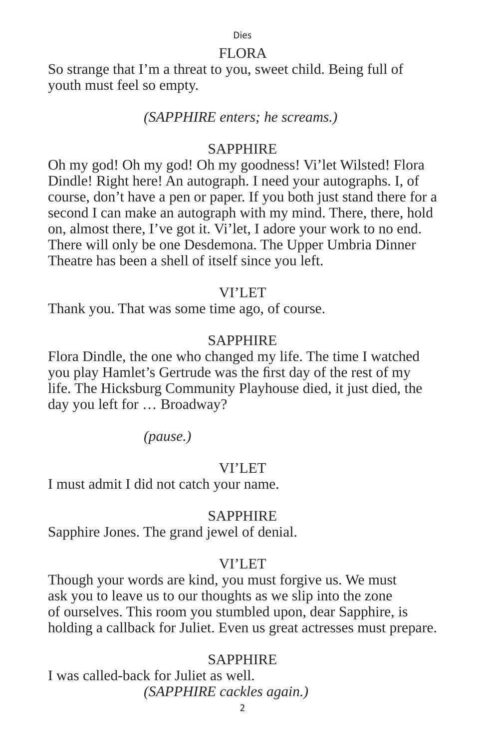#### FLORA

So strange that I'm a threat to you, sweet child. Being full of youth must feel so empty.

#### *(SAPPHIRE enters; he screams.)*

#### SAPPHIRE

Oh my god! Oh my god! Oh my goodness! Vi'let Wilsted! Flora Dindle! Right here! An autograph. I need your autographs. I, of course, don't have a pen or paper. If you both just stand there for a second I can make an autograph with my mind. There, there, hold on, almost there, I've got it. Vi'let, I adore your work to no end. There will only be one Desdemona. The Upper Umbria Dinner Theatre has been a shell of itself since you left.

#### VI'I FT

Thank you. That was some time ago, of course.

#### **SAPPHIRE**

Flora Dindle, the one who changed my life. The time I watched you play Hamlet's Gertrude was the first day of the rest of my life. The Hicksburg Community Playhouse died, it just died, the day you left for … Broadway?

 *(pause.)*

#### VI'LET

I must admit I did not catch your name.

#### **SAPPHIRE**

Sapphire Jones. The grand jewel of denial.

#### VI'LET

Though your words are kind, you must forgive us. We must ask you to leave us to our thoughts as we slip into the zone of ourselves. This room you stumbled upon, dear Sapphire, is holding a callback for Juliet. Even us great actresses must prepare.

#### **SAPPHIRE**

I was called-back for Juliet as well.  *(SAPPHIRE cackles again.)*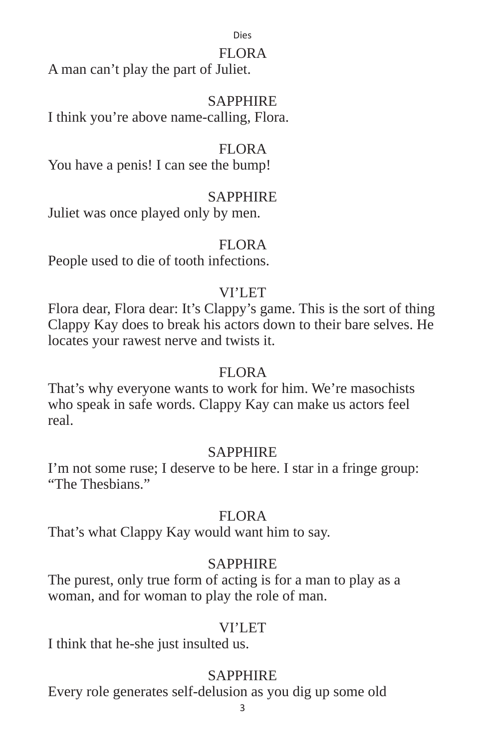#### FLORA

A man can't play the part of Juliet.

## SAPPHIRE

I think you're above name-calling, Flora.

# FLORA

You have a penis! I can see the bump!

# SAPPHIRE

Juliet was once played only by men.

## FLORA

People used to die of tooth infections.

# VI'I FT

Flora dear, Flora dear: It's Clappy's game. This is the sort of thing Clappy Kay does to break his actors down to their bare selves. He locates your rawest nerve and twists it.

## FLORA

That's why everyone wants to work for him. We're masochists who speak in safe words. Clappy Kay can make us actors feel real.

## SAPPHIRE

I'm not some ruse; I deserve to be here. I star in a fringe group: "The Thesbians"

# FLORA

That's what Clappy Kay would want him to say.

# **SAPPHIRE**

The purest, only true form of acting is for a man to play as a woman, and for woman to play the role of man.

## VI'LET

I think that he-she just insulted us.

# **SAPPHIRE**

Every role generates self-delusion as you dig up some old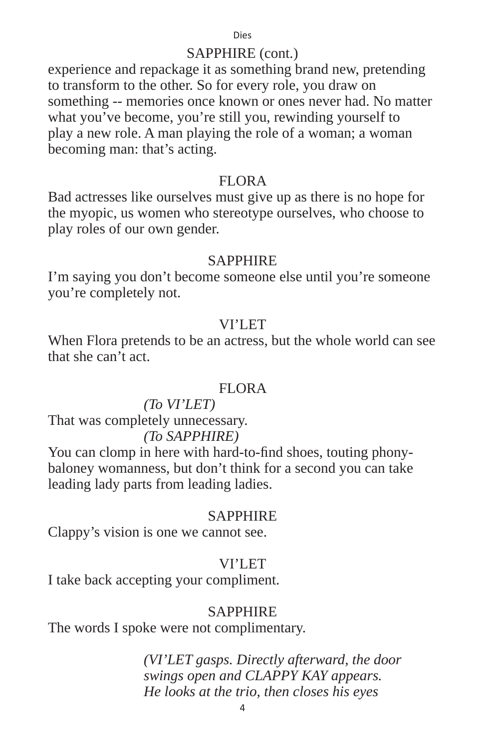#### SAPPHIRE (cont.)

experience and repackage it as something brand new, pretending to transform to the other. So for every role, you draw on something -- memories once known or ones never had. No matter what you've become, you're still you, rewinding yourself to play a new role. A man playing the role of a woman; a woman becoming man: that's acting.

#### FLORA

Bad actresses like ourselves must give up as there is no hope for the myopic, us women who stereotype ourselves, who choose to play roles of our own gender.

#### **SAPPHIRE**

I'm saying you don't become someone else until you're someone you're completely not.

#### VI'LET

When Flora pretends to be an actress, but the whole world can see that she can't act.

#### FLORA

#### *(To VI'LET)*

That was completely unnecessary.

#### *(To SAPPHIRE)*

You can clomp in here with hard-to-find shoes, touting phonybaloney womanness, but don't think for a second you can take leading lady parts from leading ladies.

#### **SAPPHIRE**

Clappy's vision is one we cannot see.

## VI'LET

I take back accepting your compliment.

#### **SAPPHIRE**

The words I spoke were not complimentary.

 *(VI'LET gasps. Directly afterward, the door swings open and CLAPPY KAY appears. He looks at the trio, then closes his eyes*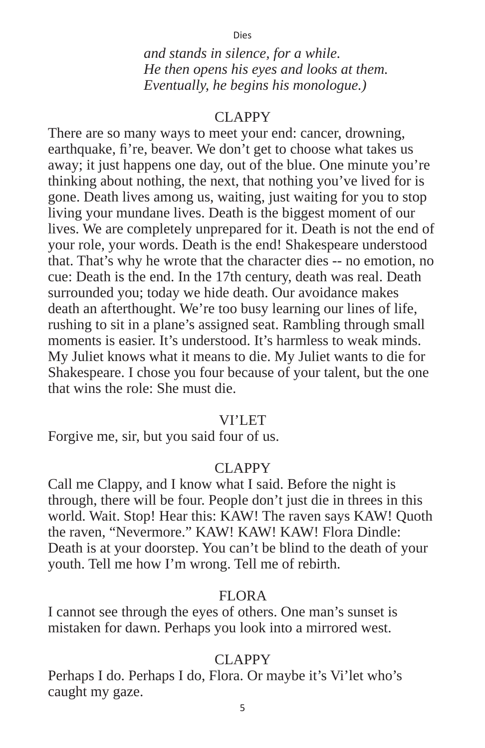*and stands in silence, for a while. He then opens his eyes and looks at them. Eventually, he begins his monologue.)*

#### CLAPPY

There are so many ways to meet your end: cancer, drowning, earthquake, fi're, beaver. We don't get to choose what takes us away; it just happens one day, out of the blue. One minute you're thinking about nothing, the next, that nothing you've lived for is gone. Death lives among us, waiting, just waiting for you to stop living your mundane lives. Death is the biggest moment of our lives. We are completely unprepared for it. Death is not the end of your role, your words. Death is the end! Shakespeare understood that. That's why he wrote that the character dies -- no emotion, no cue: Death is the end. In the 17th century, death was real. Death surrounded you; today we hide death. Our avoidance makes death an afterthought. We're too busy learning our lines of life, rushing to sit in a plane's assigned seat. Rambling through small moments is easier. It's understood. It's harmless to weak minds. My Juliet knows what it means to die. My Juliet wants to die for Shakespeare. I chose you four because of your talent, but the one that wins the role: She must die.

#### VI'LET

Forgive me, sir, but you said four of us.

#### CLAPPY

Call me Clappy, and I know what I said. Before the night is through, there will be four. People don't just die in threes in this world. Wait. Stop! Hear this: KAW! The raven says KAW! Quoth the raven, "Nevermore." KAW! KAW! KAW! Flora Dindle: Death is at your doorstep. You can't be blind to the death of your youth. Tell me how I'm wrong. Tell me of rebirth.

#### FLORA

I cannot see through the eyes of others. One man's sunset is mistaken for dawn. Perhaps you look into a mirrored west.

#### CLAPPY

Perhaps I do. Perhaps I do, Flora. Or maybe it's Vi'let who's caught my gaze.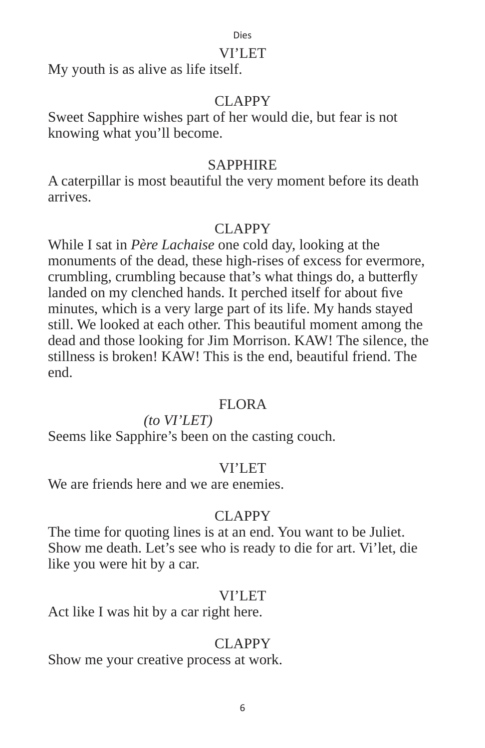#### VI'LET

My youth is as alive as life itself.

# CLAPPY

Sweet Sapphire wishes part of her would die, but fear is not knowing what you'll become.

## SAPPHIRE

A caterpillar is most beautiful the very moment before its death arrives.

# CLAPPY

While I sat in *Père Lachaise* one cold day, looking at the monuments of the dead, these high-rises of excess for evermore, crumbling, crumbling because that's what things do, a butterfly landed on my clenched hands. It perched itself for about five minutes, which is a very large part of its life. My hands stayed still. We looked at each other. This beautiful moment among the dead and those looking for Jim Morrison. KAW! The silence, the stillness is broken! KAW! This is the end, beautiful friend. The end.

## FLORA

*(to VI'LET)*

Seems like Sapphire's been on the casting couch.

## VI'LET

We are friends here and we are enemies.

## CLAPPY

The time for quoting lines is at an end. You want to be Juliet. Show me death. Let's see who is ready to die for art. Vi'let, die like you were hit by a car.

## VI'LET

Act like I was hit by a car right here.

# CLAPPY

Show me your creative process at work.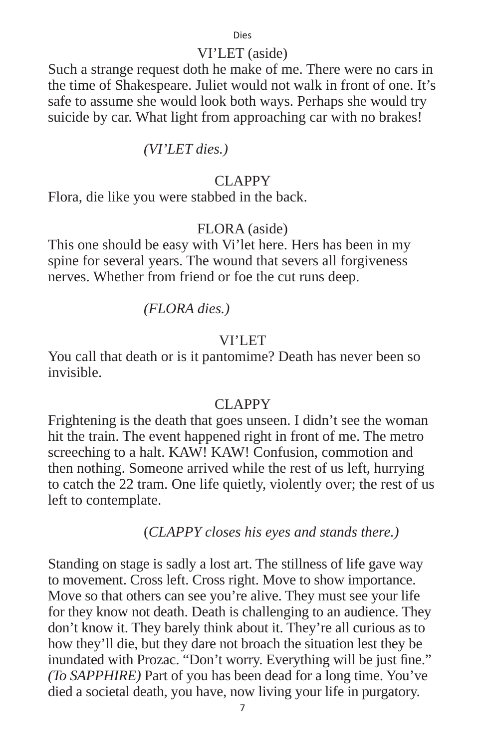#### VI'LET (aside)

Such a strange request doth he make of me. There were no cars in the time of Shakespeare. Juliet would not walk in front of one. It's safe to assume she would look both ways. Perhaps she would try suicide by car. What light from approaching car with no brakes!

*(VI'LET dies.)*

#### CLAPPY

Flora, die like you were stabbed in the back.

## FLORA (aside)

This one should be easy with Vi'let here. Hers has been in my spine for several years. The wound that severs all forgiveness nerves. Whether from friend or foe the cut runs deep.

 *(FLORA dies.)*

#### VI'LET

You call that death or is it pantomime? Death has never been so invisible.

## CLAPPY

Frightening is the death that goes unseen. I didn't see the woman hit the train. The event happened right in front of me. The metro screeching to a halt. KAW! KAW! Confusion, commotion and then nothing. Someone arrived while the rest of us left, hurrying to catch the 22 tram. One life quietly, violently over; the rest of us left to contemplate.

(*CLAPPY closes his eyes and stands there.)*

Standing on stage is sadly a lost art. The stillness of life gave way to movement. Cross left. Cross right. Move to show importance. Move so that others can see you're alive. They must see your life for they know not death. Death is challenging to an audience. They don't know it. They barely think about it. They're all curious as to how they'll die, but they dare not broach the situation lest they be inundated with Prozac. "Don't worry. Everything will be just fine." *(To SAPPHIRE)* Part of you has been dead for a long time. You've died a societal death, you have, now living your life in purgatory.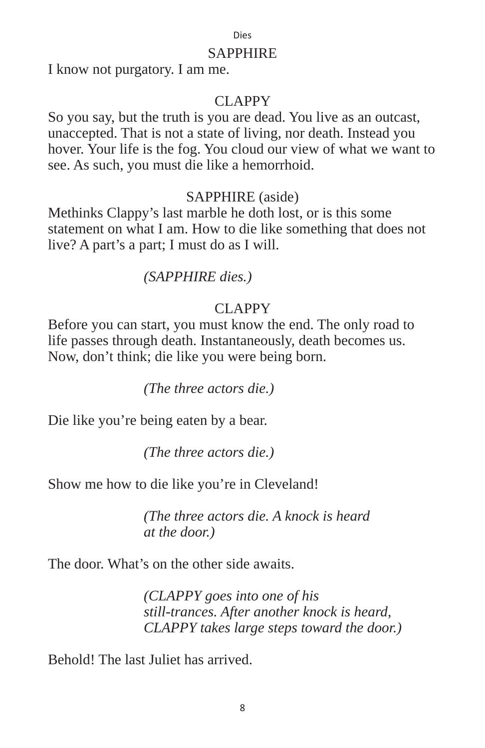#### SAPPHIRE

I know not purgatory. I am me.

#### CLAPPY

So you say, but the truth is you are dead. You live as an outcast, unaccepted. That is not a state of living, nor death. Instead you hover. Your life is the fog. You cloud our view of what we want to see. As such, you must die like a hemorrhoid.

#### SAPPHIRE (aside)

Methinks Clappy's last marble he doth lost, or is this some statement on what I am. How to die like something that does not live? A part's a part; I must do as I will.

#### *(SAPPHIRE dies.)*

## CLAPPY

Before you can start, you must know the end. The only road to life passes through death. Instantaneously, death becomes us. Now, don't think; die like you were being born.

 *(The three actors die.)*

Die like you're being eaten by a bear.

 *(The three actors die.)*

Show me how to die like you're in Cleveland!

 *(The three actors die. A knock is heard at the door.)*

The door. What's on the other side awaits.

 *(CLAPPY goes into one of his still-trances. After another knock is heard, CLAPPY takes large steps toward the door.)*

Behold! The last Juliet has arrived.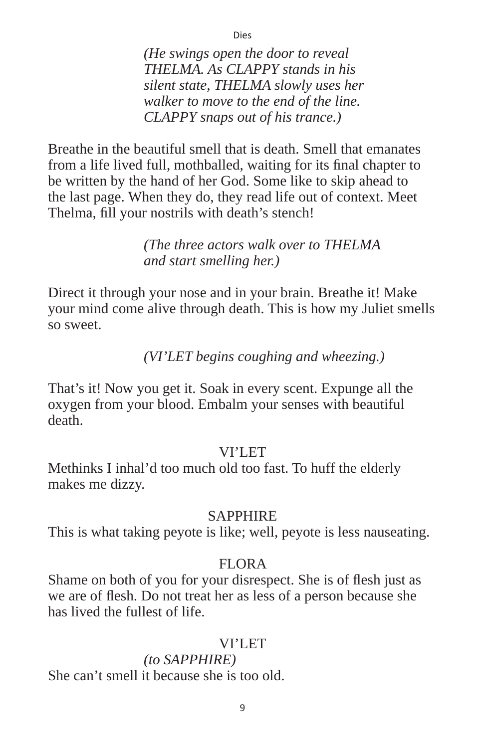*(He swings open the door to reveal THELMA. As CLAPPY stands in his silent state, THELMA slowly uses her walker to move to the end of the line. CLAPPY snaps out of his trance.)* 

Dies

Breathe in the beautiful smell that is death. Smell that emanates from a life lived full, mothballed, waiting for its final chapter to be written by the hand of her God. Some like to skip ahead to the last page. When they do, they read life out of context. Meet Thelma, fill your nostrils with death's stench!

> *(The three actors walk over to THELMA and start smelling her.)*

Direct it through your nose and in your brain. Breathe it! Make your mind come alive through death. This is how my Juliet smells so sweet.

 *(VI'LET begins coughing and wheezing.)*

That's it! Now you get it. Soak in every scent. Expunge all the oxygen from your blood. Embalm your senses with beautiful death.

#### VI'I FT

Methinks I inhal'd too much old too fast. To huff the elderly makes me dizzy.

## **SAPPHIRE**

This is what taking peyote is like; well, peyote is less nauseating.

## FLORA

Shame on both of you for your disrespect. She is of flesh just as we are of flesh. Do not treat her as less of a person because she has lived the fullest of life.

## VI'LET

# *(to SAPPHIRE)*

She can't smell it because she is too old.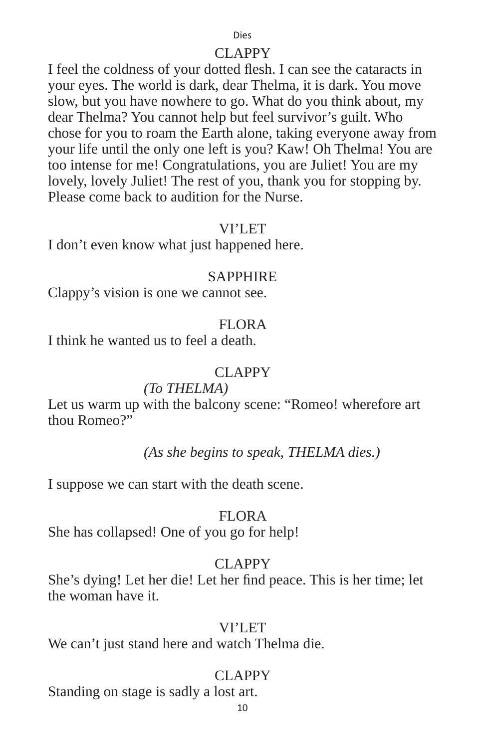#### CLAPPY

I feel the coldness of your dotted flesh. I can see the cataracts in your eyes. The world is dark, dear Thelma, it is dark. You move slow, but you have nowhere to go. What do you think about, my dear Thelma? You cannot help but feel survivor's guilt. Who chose for you to roam the Earth alone, taking everyone away from your life until the only one left is you? Kaw! Oh Thelma! You are too intense for me! Congratulations, you are Juliet! You are my lovely, lovely Juliet! The rest of you, thank you for stopping by. Please come back to audition for the Nurse.

#### VI'LET

I don't even know what just happened here.

#### **SAPPHIRE**

Clappy's vision is one we cannot see.

#### FLOR A

I think he wanted us to feel a death.

#### CLAPPY

#### *(To THELMA)*

Let us warm up with the balcony scene: "Romeo! wherefore art thou Romeo?"

#### *(As she begins to speak, THELMA dies.)*

I suppose we can start with the death scene.

## FLORA

She has collapsed! One of you go for help!

## CLAPPY

She's dying! Let her die! Let her find peace. This is her time; let the woman have it.

#### VI'LET

We can't just stand here and watch Thelma die.

## CLAPPY

Standing on stage is sadly a lost art.